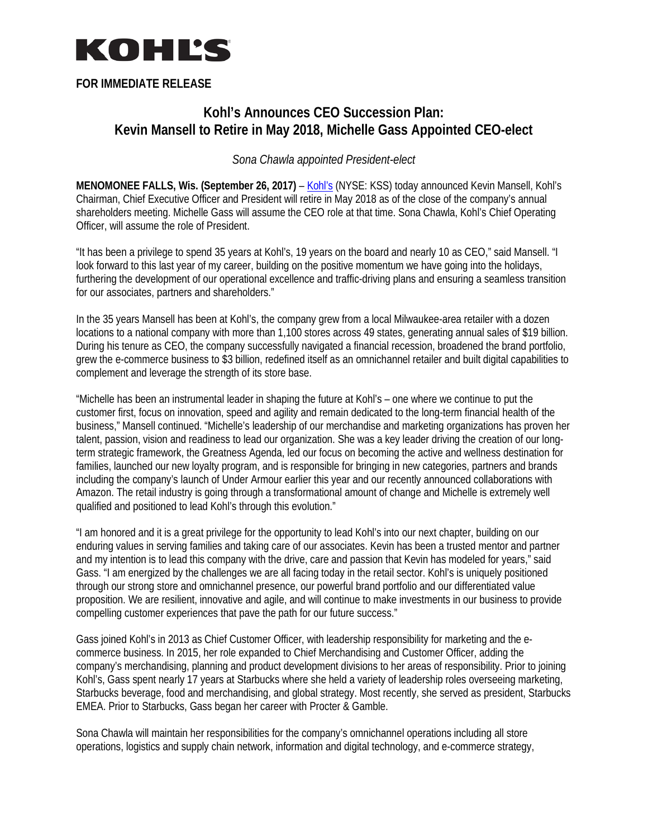

# **FOR IMMEDIATE RELEASE**

# **Kohl's Announces CEO Succession Plan: Kevin Mansell to Retire in May 2018, Michelle Gass Appointed CEO-elect**

## *Sona Chawla appointed President-elect*

MENOMONEE FALLS, Wis. (September 26, 2017) - [Kohl's](https://corporate.kohls.com/) (NYSE: KSS) today announced Kevin Mansell, Kohl's Chairman, Chief Executive Officer and President will retire in May 2018 as of the close of the company's annual shareholders meeting. Michelle Gass will assume the CEO role at that time. Sona Chawla, Kohl's Chief Operating Officer, will assume the role of President.

"It has been a privilege to spend 35 years at Kohl's, 19 years on the board and nearly 10 as CEO," said Mansell. "I look forward to this last year of my career, building on the positive momentum we have going into the holidays, furthering the development of our operational excellence and traffic-driving plans and ensuring a seamless transition for our associates, partners and shareholders."

In the 35 years Mansell has been at Kohl's, the company grew from a local Milwaukee-area retailer with a dozen locations to a national company with more than 1,100 stores across 49 states, generating annual sales of \$19 billion. During his tenure as CEO, the company successfully navigated a financial recession, broadened the brand portfolio, grew the e-commerce business to \$3 billion, redefined itself as an omnichannel retailer and built digital capabilities to complement and leverage the strength of its store base.

"Michelle has been an instrumental leader in shaping the future at Kohl's – one where we continue to put the customer first, focus on innovation, speed and agility and remain dedicated to the long-term financial health of the business," Mansell continued. "Michelle's leadership of our merchandise and marketing organizations has proven her talent, passion, vision and readiness to lead our organization. She was a key leader driving the creation of our longterm strategic framework, the Greatness Agenda, led our focus on becoming the active and wellness destination for families, launched our new loyalty program, and is responsible for bringing in new categories, partners and brands including the company's launch of Under Armour earlier this year and our recently announced collaborations with Amazon. The retail industry is going through a transformational amount of change and Michelle is extremely well qualified and positioned to lead Kohl's through this evolution."

"I am honored and it is a great privilege for the opportunity to lead Kohl's into our next chapter, building on our enduring values in serving families and taking care of our associates. Kevin has been a trusted mentor and partner and my intention is to lead this company with the drive, care and passion that Kevin has modeled for years," said Gass. "I am energized by the challenges we are all facing today in the retail sector. Kohl's is uniquely positioned through our strong store and omnichannel presence, our powerful brand portfolio and our differentiated value proposition. We are resilient, innovative and agile, and will continue to make investments in our business to provide compelling customer experiences that pave the path for our future success."

Gass joined Kohl's in 2013 as Chief Customer Officer, with leadership responsibility for marketing and the ecommerce business. In 2015, her role expanded to Chief Merchandising and Customer Officer, adding the company's merchandising, planning and product development divisions to her areas of responsibility. Prior to joining Kohl's, Gass spent nearly 17 years at Starbucks where she held a variety of leadership roles overseeing marketing, Starbucks beverage, food and merchandising, and global strategy. Most recently, she served as president, Starbucks EMEA. Prior to Starbucks, Gass began her career with Procter & Gamble.

Sona Chawla will maintain her responsibilities for the company's omnichannel operations including all store operations, logistics and supply chain network, information and digital technology, and e-commerce strategy,